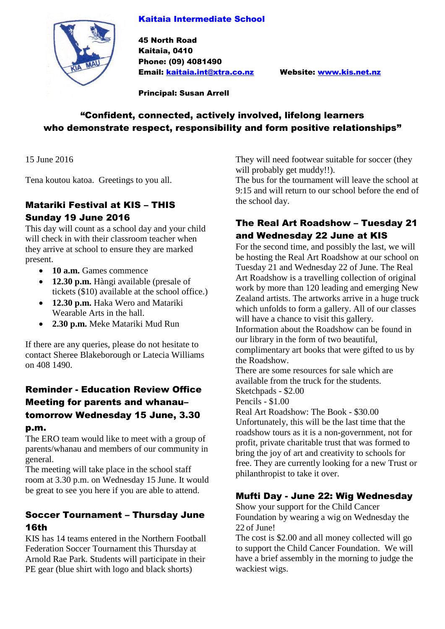#### Kaitaia Intermediate School



45 North Road Kaitaia, 0410 Phone: (09) 4081490 Email: [kaitaia.int@xtra.co.nz](mailto:kaitaia.int@xtra.co.nz) Website: [www.kis.net.nz](http://www.kis.net.nz/)

Principal: Susan Arrell

# "Confident, connected, actively involved, lifelong learners who demonstrate respect, responsibility and form positive relationships"

15 June 2016

Tena koutou katoa. Greetings to you all.

# Matariki Festival at KIS – THIS Sunday 19 June 2016

This day will count as a school day and your child will check in with their classroom teacher when they arrive at school to ensure they are marked present.

- **10 a.m.** Games commence
- **12.30 p.m.** Hàngi available (presale of tickets (\$10) available at the school office.)
- **12.30 p.m.** Haka Wero and Matariki Wearable Arts in the hall.
- **2.30 p.m.** Meke Matariki Mud Run

If there are any queries, please do not hesitate to contact Sheree Blakeborough or Latecia Williams on 408 1490.

# Reminder - Education Review Office Meeting for parents and whanau– tomorrow Wednesday 15 June, 3.30

#### p.m.

The ERO team would like to meet with a group of parents/whanau and members of our community in general.

The meeting will take place in the school staff room at 3.30 p.m. on Wednesday 15 June. It would be great to see you here if you are able to attend.

#### Soccer Tournament – Thursday June 16th

KIS has 14 teams entered in the Northern Football Federation Soccer Tournament this Thursday at Arnold Rae Park. Students will participate in their PE gear (blue shirt with logo and black shorts)

They will need footwear suitable for soccer (they will probably get muddy!!).

The bus for the tournament will leave the school at 9:15 and will return to our school before the end of the school day.

#### The Real Art Roadshow – Tuesday 21 and Wednesday 22 June at KIS

For the second time, and possibly the last, we will be hosting the Real Art Roadshow at our school on Tuesday 21 and Wednesday 22 of June. The Real Art Roadshow is a travelling collection of original work by more than 120 leading and emerging New Zealand artists. The artworks arrive in a huge truck which unfolds to form a gallery. All of our classes will have a chance to visit this gallery. Information about the Roadshow can be found in our library in the form of two beautiful, complimentary art books that were gifted to us by the Roadshow.

There are some resources for sale which are available from the truck for the students. Sketchpads - \$2.00

Pencils - \$1.00

Real Art Roadshow: The Book - \$30.00 Unfortunately, this will be the last time that the roadshow tours as it is a non-government, not for profit, private charitable trust that was formed to bring the joy of art and creativity to schools for free. They are currently looking for a new Trust or philanthropist to take it over.

#### Mufti Day - June 22: Wig Wednesday

Show your support for the Child Cancer Foundation by wearing a wig on Wednesday the 22 of June!

The cost is \$2.00 and all money collected will go to support the Child Cancer Foundation. We will have a brief assembly in the morning to judge the wackiest wigs.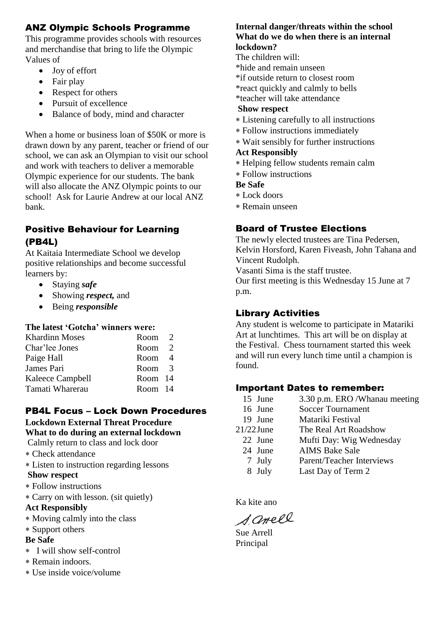### ANZ Olympic Schools Programme

This programme provides schools with resources and merchandise that bring to life the Olympic Values of

- Joy of effort
- Fair play
- Respect for others
- Pursuit of excellence
- Balance of body, mind and character

When a home or business loan of \$50K or more is drawn down by any parent, teacher or friend of our school, we can ask an Olympian to visit our school and work with teachers to deliver a memorable Olympic experience for our students. The bank will also allocate the ANZ Olympic points to our school! Ask for Laurie Andrew at our local ANZ bank.

#### Positive Behaviour for Learning (PB4L)

At Kaitaia Intermediate School we develop positive relationships and become successful learners by:

- Staying *safe*
- Showing *respect,* and
- Being *responsible*

#### **The latest 'Gotcha' winners were:**

| Room <sub>2</sub> |  |
|-------------------|--|
| Room <sub>2</sub> |  |
| Room 4            |  |
| Room <sub>3</sub> |  |
| Room 14           |  |
| Room 14           |  |
|                   |  |

#### PB4L Focus – Lock Down Procedures

#### **Lockdown External Threat Procedure**

**What to do during an external lockdown**

- Calmly return to class and lock door
- Check attendance
- Listen to instruction regarding lessons

#### **Show respect**

- Follow instructions
- Carry on with lesson. (sit quietly)

#### **Act Responsibly**

- Moving calmly into the class
- Support others

#### **Be Safe**

- I will show self-control
- Remain indoors.
- Use inside voice/volume

#### **Internal danger/threats within the school What do we do when there is an internal lockdown?**

- The children will:
- \*hide and remain unseen
- \*if outside return to closest room
- \*react quickly and calmly to bells
- \*teacher will take attendance

#### **Show respect**

- Listening carefully to all instructions
- Follow instructions immediately
- Wait sensibly for further instructions

#### **Act Responsibly**

- Helping fellow students remain calm
- Follow instructions

#### **Be Safe**

- Lock doors
- Remain unseen

# Board of Trustee Elections

The newly elected trustees are Tina Pedersen, Kelvin Horsford, Karen Fiveash, John Tahana and Vincent Rudolph.

Vasanti Sima is the staff trustee.

Our first meeting is this Wednesday 15 June at 7 p.m.

#### Library Activities

Any student is welcome to participate in Matariki Art at lunchtimes. This art will be on display at the Festival. Chess tournament started this week and will run every lunch time until a champion is found.

#### Important Dates to remember:

| 15 June      | 3.30 p.m. ERO / Whanau meeting |
|--------------|--------------------------------|
| 16 June      | <b>Soccer Tournament</b>       |
| 19 June      | Matariki Festival              |
| $21/22$ June | The Real Art Roadshow          |
| 22 June      | Mufti Day: Wig Wednesday       |
| 24 June      | <b>AIMS Bake Sale</b>          |
| 7 July       | Parent/Teacher Interviews      |
| 8 July       | Last Day of Term 2             |

Ka kite ano

Samell

Sue Arrell Principal